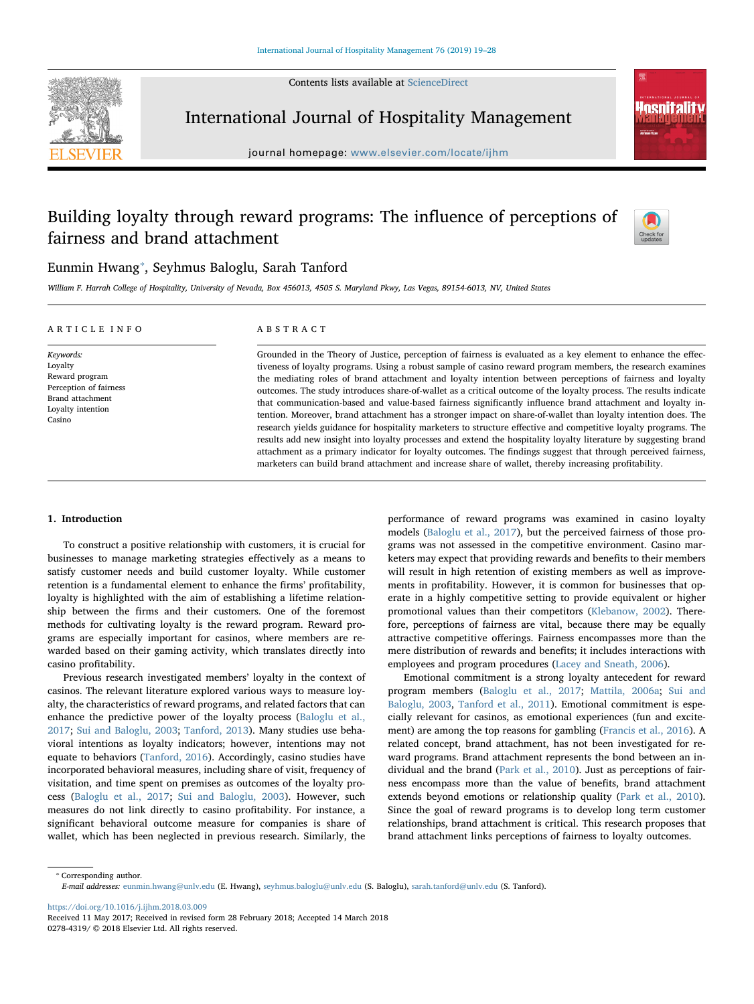Contents lists available at [ScienceDirect](http://www.sciencedirect.com/science/journal/02784319)



International Journal of Hospitality Management

journal homepage: [www.elsevier.com/locate/ijhm](https://www.elsevier.com/locate/ijhm)

# Building loyalty through reward programs: The influence of perceptions of fairness and brand attachment



**nenitali** 

# Eunmin Hwang[⁎](#page-0-0) , Seyhmus Baloglu, Sarah Tanford

William F. Harrah College of Hospitality, University of Nevada, Box 456013, 4505 S. Maryland Pkwy, Las Vegas, 89154-6013, NV, United States

| ARTICLE INFO                                                                                                        | ABSTRACT                                                                                                                                                                                                                                                                                                                                                                                                                                                                                                                                                                                                                                                                                                                                                                                                         |
|---------------------------------------------------------------------------------------------------------------------|------------------------------------------------------------------------------------------------------------------------------------------------------------------------------------------------------------------------------------------------------------------------------------------------------------------------------------------------------------------------------------------------------------------------------------------------------------------------------------------------------------------------------------------------------------------------------------------------------------------------------------------------------------------------------------------------------------------------------------------------------------------------------------------------------------------|
| Keywords:<br>Loyalty<br>Reward program<br>Perception of fairness<br>Brand attachment<br>Loyalty intention<br>Casino | Grounded in the Theory of Justice, perception of fairness is evaluated as a key element to enhance the effec-<br>tiveness of loyalty programs. Using a robust sample of casino reward program members, the research examines<br>the mediating roles of brand attachment and loyalty intention between perceptions of fairness and loyalty<br>outcomes. The study introduces share-of-wallet as a critical outcome of the loyalty process. The results indicate<br>that communication-based and value-based fairness significantly influence brand attachment and loyalty in-<br>tention. Moreover, brand attachment has a stronger impact on share-of-wallet than loyalty intention does. The<br>research vields guidance for hospitality marketers to structure effective and competitive loyalty programs. The |
|                                                                                                                     | results add new insight into loyalty processes and extend the hospitality loyalty literature by suggesting brand<br>attachment as a primary indicator for loyalty outcomes. The findings suggest that through perceived fairness,                                                                                                                                                                                                                                                                                                                                                                                                                                                                                                                                                                                |

marketers can build brand attachment and increase share of wallet, thereby increasing profitability.

#### 1. Introduction

To construct a positive relationship with customers, it is crucial for businesses to manage marketing strategies effectively as a means to satisfy customer needs and build customer loyalty. While customer retention is a fundamental element to enhance the firms' profitability, loyalty is highlighted with the aim of establishing a lifetime relationship between the firms and their customers. One of the foremost methods for cultivating loyalty is the reward program. Reward programs are especially important for casinos, where members are rewarded based on their gaming activity, which translates directly into casino profitability.

Previous research investigated members' loyalty in the context of casinos. The relevant literature explored various ways to measure loyalty, the characteristics of reward programs, and related factors that can enhance the predictive power of the loyalty process ([Baloglu et al.,](#page-8-0) [2017;](#page-8-0) [Sui and Baloglu, 2003](#page-9-0); [Tanford, 2013](#page-9-1)). Many studies use behavioral intentions as loyalty indicators; however, intentions may not equate to behaviors ([Tanford, 2016](#page-9-2)). Accordingly, casino studies have incorporated behavioral measures, including share of visit, frequency of visitation, and time spent on premises as outcomes of the loyalty process ([Baloglu et al., 2017](#page-8-0); [Sui and Baloglu, 2003\)](#page-9-0). However, such measures do not link directly to casino profitability. For instance, a significant behavioral outcome measure for companies is share of wallet, which has been neglected in previous research. Similarly, the performance of reward programs was examined in casino loyalty models ([Baloglu et al., 2017](#page-8-0)), but the perceived fairness of those programs was not assessed in the competitive environment. Casino marketers may expect that providing rewards and benefits to their members will result in high retention of existing members as well as improvements in profitability. However, it is common for businesses that operate in a highly competitive setting to provide equivalent or higher promotional values than their competitors [\(Klebanow, 2002](#page-8-1)). Therefore, perceptions of fairness are vital, because there may be equally attractive competitive offerings. Fairness encompasses more than the mere distribution of rewards and benefits; it includes interactions with employees and program procedures [\(Lacey and Sneath, 2006](#page-8-2)).

Emotional commitment is a strong loyalty antecedent for reward program members ([Baloglu et al., 2017](#page-8-0); [Mattila, 2006a](#page-8-3); [Sui and](#page-9-0) [Baloglu, 2003,](#page-9-0) [Tanford et al., 2011](#page-9-3)). Emotional commitment is especially relevant for casinos, as emotional experiences (fun and excitement) are among the top reasons for gambling ([Francis et al., 2016\)](#page-8-4). A related concept, brand attachment, has not been investigated for reward programs. Brand attachment represents the bond between an individual and the brand ([Park et al., 2010\)](#page-8-5). Just as perceptions of fairness encompass more than the value of benefits, brand attachment extends beyond emotions or relationship quality [\(Park et al., 2010](#page-8-5)). Since the goal of reward programs is to develop long term customer relationships, brand attachment is critical. This research proposes that brand attachment links perceptions of fairness to loyalty outcomes.

<span id="page-0-0"></span>⁎ Corresponding author. E-mail addresses: [eunmin.hwang@unlv.edu](mailto:eunmin.hwang@unlv.edu) (E. Hwang), [seyhmus.baloglu@unlv.edu](mailto:seyhmus.baloglu@unlv.edu) (S. Baloglu), [sarah.tanford@unlv.edu](mailto:sarah.tanford@unlv.edu) (S. Tanford).

<https://doi.org/10.1016/j.ijhm.2018.03.009>

Received 11 May 2017; Received in revised form 28 February 2018; Accepted 14 March 2018 0278-4319/ © 2018 Elsevier Ltd. All rights reserved.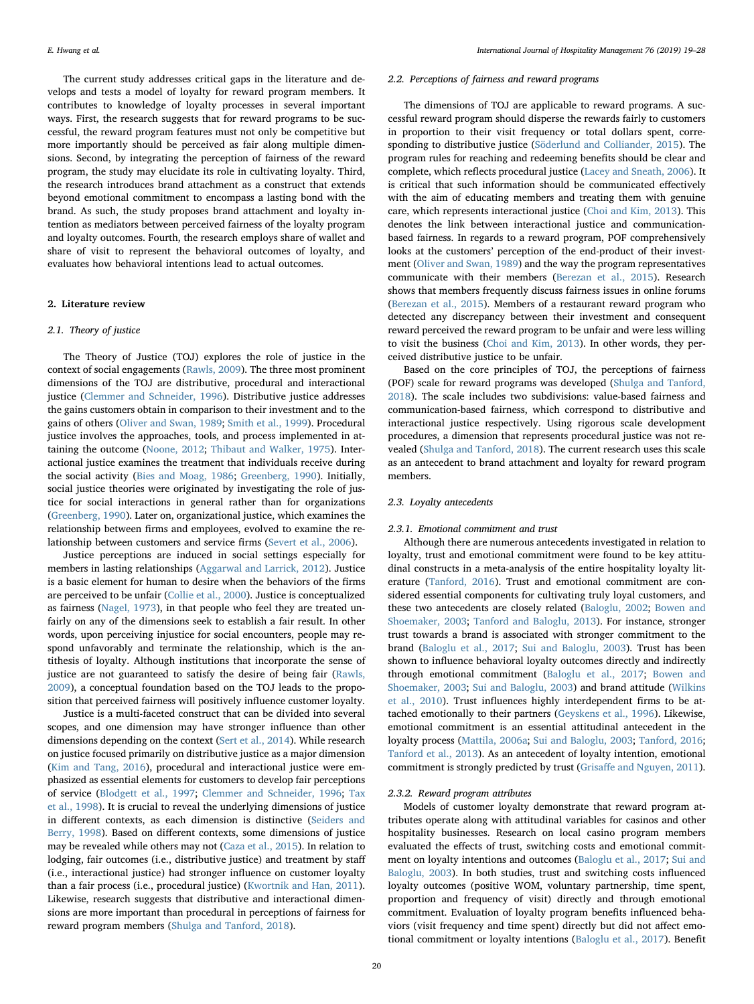The current study addresses critical gaps in the literature and develops and tests a model of loyalty for reward program members. It contributes to knowledge of loyalty processes in several important ways. First, the research suggests that for reward programs to be successful, the reward program features must not only be competitive but more importantly should be perceived as fair along multiple dimensions. Second, by integrating the perception of fairness of the reward program, the study may elucidate its role in cultivating loyalty. Third, the research introduces brand attachment as a construct that extends beyond emotional commitment to encompass a lasting bond with the brand. As such, the study proposes brand attachment and loyalty intention as mediators between perceived fairness of the loyalty program and loyalty outcomes. Fourth, the research employs share of wallet and share of visit to represent the behavioral outcomes of loyalty, and evaluates how behavioral intentions lead to actual outcomes.

# 2. Literature review

#### 2.1. Theory of justice

The Theory of Justice (TOJ) explores the role of justice in the context of social engagements [\(Rawls, 2009](#page-8-6)). The three most prominent dimensions of the TOJ are distributive, procedural and interactional justice ([Clemmer and Schneider, 1996](#page-8-7)). Distributive justice addresses the gains customers obtain in comparison to their investment and to the gains of others ([Oliver and Swan, 1989](#page-8-8); [Smith et al., 1999\)](#page-9-4). Procedural justice involves the approaches, tools, and process implemented in attaining the outcome ([Noone, 2012](#page-8-9); [Thibaut and Walker, 1975](#page-9-5)). Interactional justice examines the treatment that individuals receive during the social activity ([Bies and Moag, 1986;](#page-8-10) [Greenberg, 1990](#page-8-11)). Initially, social justice theories were originated by investigating the role of justice for social interactions in general rather than for organizations ([Greenberg, 1990](#page-8-11)). Later on, organizational justice, which examines the relationship between firms and employees, evolved to examine the relationship between customers and service firms [\(Severt et al., 2006\)](#page-9-6).

Justice perceptions are induced in social settings especially for members in lasting relationships ([Aggarwal and Larrick, 2012\)](#page-8-12). Justice is a basic element for human to desire when the behaviors of the firms are perceived to be unfair ([Collie et al., 2000\)](#page-8-13). Justice is conceptualized as fairness [\(Nagel, 1973](#page-8-14)), in that people who feel they are treated unfairly on any of the dimensions seek to establish a fair result. In other words, upon perceiving injustice for social encounters, people may respond unfavorably and terminate the relationship, which is the antithesis of loyalty. Although institutions that incorporate the sense of justice are not guaranteed to satisfy the desire of being fair [\(Rawls,](#page-8-6) [2009\)](#page-8-6), a conceptual foundation based on the TOJ leads to the proposition that perceived fairness will positively influence customer loyalty.

Justice is a multi-faceted construct that can be divided into several scopes, and one dimension may have stronger influence than other dimensions depending on the context ([Sert et al., 2014](#page-9-7)). While research on justice focused primarily on distributive justice as a major dimension ([Kim and Tang, 2016](#page-8-15)), procedural and interactional justice were emphasized as essential elements for customers to develop fair perceptions of service ([Blodgett et al., 1997](#page-8-16); [Clemmer and Schneider, 1996](#page-8-7); [Tax](#page-9-8) [et al., 1998\)](#page-9-8). It is crucial to reveal the underlying dimensions of justice in different contexts, as each dimension is distinctive [\(Seiders](#page-8-17) and [Berry, 1998](#page-8-17)). Based on different contexts, some dimensions of justice may be revealed while others may not ([Caza et al., 2015](#page-8-18)). In relation to lodging, fair outcomes (i.e., distributive justice) and treatment by staff (i.e., interactional justice) had stronger influence on customer loyalty than a fair process (i.e., procedural justice) ([Kwortnik and Han, 2011](#page-8-19)). Likewise, research suggests that distributive and interactional dimensions are more important than procedural in perceptions of fairness for reward program members ([Shulga and Tanford, 2018\)](#page-9-9).

#### 2.2. Perceptions of fairness and reward programs

The dimensions of TOJ are applicable to reward programs. A successful reward program should disperse the rewards fairly to customers in proportion to their visit frequency or total dollars spent, corresponding to distributive justice ([Söderlund and Colliander, 2015](#page-8-20)). The program rules for reaching and redeeming benefits should be clear and complete, which reflects procedural justice ([Lacey and Sneath, 2006](#page-8-2)). It is critical that such information should be communicated effectively with the aim of educating members and treating them with genuine care, which represents interactional justice ([Choi and Kim, 2013](#page-8-21)). This denotes the link between interactional justice and communicationbased fairness. In regards to a reward program, POF comprehensively looks at the customers' perception of the end-product of their investment [\(Oliver and Swan, 1989](#page-8-8)) and the way the program representatives communicate with their members ([Berezan et al., 2015](#page-8-22)). Research shows that members frequently discuss fairness issues in online forums ([Berezan et al., 2015](#page-8-22)). Members of a restaurant reward program who detected any discrepancy between their investment and consequent reward perceived the reward program to be unfair and were less willing to visit the business ([Choi and Kim, 2013\)](#page-8-21). In other words, they perceived distributive justice to be unfair.

Based on the core principles of TOJ, the perceptions of fairness (POF) scale for reward programs was developed ([Shulga and Tanford,](#page-9-9) [2018\)](#page-9-9). The scale includes two subdivisions: value-based fairness and communication-based fairness, which correspond to distributive and interactional justice respectively. Using rigorous scale development procedures, a dimension that represents procedural justice was not revealed ([Shulga and Tanford, 2018](#page-9-9)). The current research uses this scale as an antecedent to brand attachment and loyalty for reward program members.

#### 2.3. Loyalty antecedents

#### 2.3.1. Emotional commitment and trust

Although there are numerous antecedents investigated in relation to loyalty, trust and emotional commitment were found to be key attitudinal constructs in a meta-analysis of the entire hospitality loyalty literature ([Tanford, 2016\)](#page-9-2). Trust and emotional commitment are considered essential components for cultivating truly loyal customers, and these two antecedents are closely related ([Baloglu, 2002](#page-8-23); [Bowen and](#page-8-24) [Shoemaker, 2003;](#page-8-24) [Tanford and Baloglu, 2013](#page-9-10)). For instance, stronger trust towards a brand is associated with stronger commitment to the brand ([Baloglu et al., 2017;](#page-8-0) [Sui and Baloglu, 2003\)](#page-9-0). Trust has been shown to influence behavioral loyalty outcomes directly and indirectly through emotional commitment [\(Baloglu et al., 2017;](#page-8-0) [Bowen and](#page-8-24) [Shoemaker, 2003;](#page-8-24) [Sui and Baloglu, 2003\)](#page-9-0) and brand attitude [\(Wilkins](#page-9-11) [et al., 2010\)](#page-9-11). Trust influences highly interdependent firms to be attached emotionally to their partners ([Geyskens et al., 1996](#page-8-25)). Likewise, emotional commitment is an essential attitudinal antecedent in the loyalty process ([Mattila, 2006a;](#page-8-3) [Sui and Baloglu, 2003](#page-9-0); [Tanford, 2016](#page-9-2); [Tanford et al., 2013\)](#page-9-12). As an antecedent of loyalty intention, emotional commitment is strongly predicted by trust (Grisaff[e and Nguyen, 2011](#page-8-26)).

# 2.3.2. Reward program attributes

Models of customer loyalty demonstrate that reward program attributes operate along with attitudinal variables for casinos and other hospitality businesses. Research on local casino program members evaluated the effects of trust, switching costs and emotional commitment on loyalty intentions and outcomes ([Baloglu et al., 2017](#page-8-0); [Sui and](#page-9-0) [Baloglu, 2003\)](#page-9-0). In both studies, trust and switching costs influenced loyalty outcomes (positive WOM, voluntary partnership, time spent, proportion and frequency of visit) directly and through emotional commitment. Evaluation of loyalty program benefits influenced behaviors (visit frequency and time spent) directly but did not affect emotional commitment or loyalty intentions ([Baloglu et al., 2017\)](#page-8-0). Benefit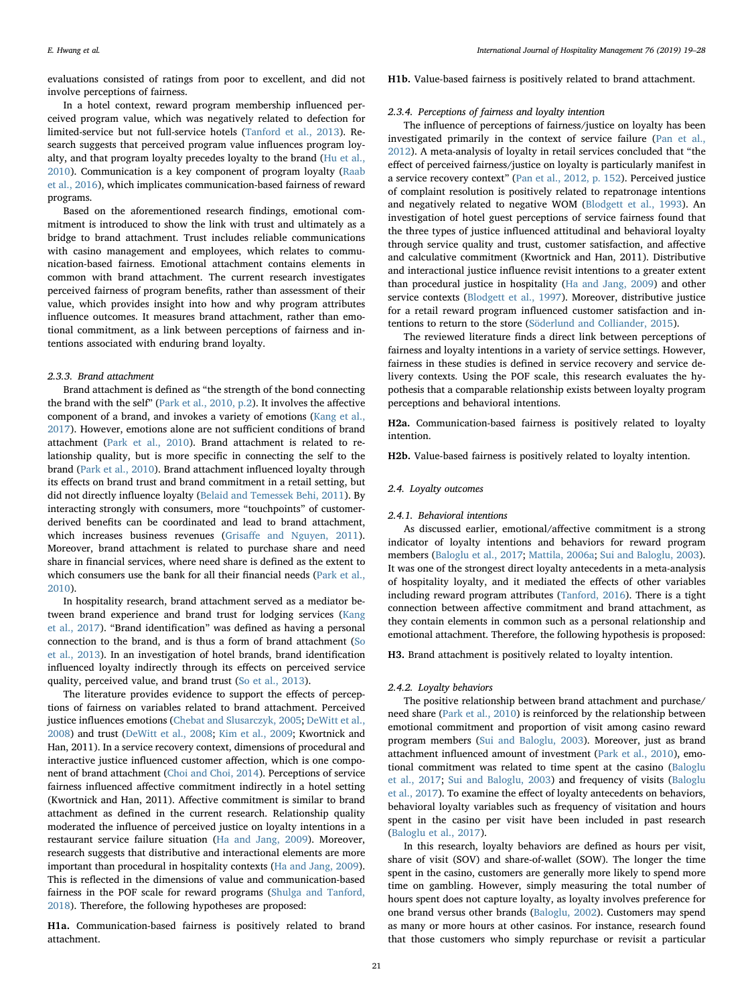evaluations consisted of ratings from poor to excellent, and did not involve perceptions of fairness.

In a hotel context, reward program membership influenced perceived program value, which was negatively related to defection for limited-service but not full-service hotels ([Tanford et al., 2013](#page-9-12)). Research suggests that perceived program value influences program loyalty, and that program loyalty precedes loyalty to the brand ([Hu et al.,](#page-8-27) [2010\)](#page-8-27). Communication is a key component of program loyalty ([Raab](#page-8-28) [et al., 2016](#page-8-28)), which implicates communication-based fairness of reward programs.

Based on the aforementioned research findings, emotional commitment is introduced to show the link with trust and ultimately as a bridge to brand attachment. Trust includes reliable communications with casino management and employees, which relates to communication-based fairness. Emotional attachment contains elements in common with brand attachment. The current research investigates perceived fairness of program benefits, rather than assessment of their value, which provides insight into how and why program attributes influence outcomes. It measures brand attachment, rather than emotional commitment, as a link between perceptions of fairness and intentions associated with enduring brand loyalty.

#### 2.3.3. Brand attachment

Brand attachment is defined as "the strength of the bond connecting the brand with the self" ([Park et al., 2010, p.2](#page-8-5)). It involves the affective component of a brand, and invokes a variety of emotions [\(Kang et al.,](#page-8-29) [2017\)](#page-8-29). However, emotions alone are not sufficient conditions of brand attachment ([Park et al., 2010](#page-8-5)). Brand attachment is related to relationship quality, but is more specific in connecting the self to the brand [\(Park et al., 2010\)](#page-8-5). Brand attachment influenced loyalty through its effects on brand trust and brand commitment in a retail setting, but did not directly influence loyalty [\(Belaid and Temessek Behi, 2011](#page-8-30)). By interacting strongly with consumers, more "touchpoints" of customerderived benefits can be coordinated and lead to brand attachment, which increases business revenues (Grisaff[e and Nguyen, 2011](#page-8-26)). Moreover, brand attachment is related to purchase share and need share in financial services, where need share is defined as the extent to which consumers use the bank for all their financial needs [\(Park et al.,](#page-8-5) [2010\)](#page-8-5).

In hospitality research, brand attachment served as a mediator between brand experience and brand trust for lodging services ([Kang](#page-8-29) et [al., 2017](#page-8-29)). "Brand identification" was defined as having a personal connection to the brand, and is thus a form of brand attachment [\(So](#page-9-13) [et al., 2013](#page-9-13)). In an investigation of hotel brands, brand identification influenced loyalty indirectly through its effects on perceived service quality, perceived value, and brand trust ([So et al., 2013\)](#page-9-13).

The literature provides evidence to support the effects of perceptions of fairness on variables related to brand attachment. Perceived justice influences emotions [\(Chebat and Slusarczyk, 2005](#page-8-31); [DeWitt et al.,](#page-8-32) [2008\)](#page-8-32) and trust [\(DeWitt et al., 2008](#page-8-32); [Kim et al., 2009](#page-8-33); Kwortnick and Han, 2011). In a service recovery context, dimensions of procedural and interactive justice influenced customer affection, which is one component of brand attachment [\(Choi and Choi, 2014\)](#page-8-34). Perceptions of service fairness influenced affective commitment indirectly in a hotel setting (Kwortnick and Han, 2011). Affective commitment is similar to brand attachment as defined in the current research. Relationship quality moderated the influence of perceived justice on loyalty intentions in a restaurant service failure situation [\(Ha and Jang, 2009](#page-8-35)). Moreover, research suggests that distributive and interactional elements are more important than procedural in hospitality contexts ([Ha and Jang, 2009](#page-8-35)). This is reflected in the dimensions of value and communication-based fairness in the POF scale for reward programs [\(Shulga and Tanford,](#page-9-9) [2018\)](#page-9-9). Therefore, the following hypotheses are proposed:

H1a. Communication-based fairness is positively related to brand attachment.

H1b. Value-based fairness is positively related to brand attachment.

# 2.3.4. Perceptions of fairness and loyalty intention

The influence of perceptions of fairness/justice on loyalty has been investigated primarily in the context of service failure [\(Pan et al.,](#page-8-36) [2012\)](#page-8-36). A meta-analysis of loyalty in retail services concluded that "the effect of perceived fairness/justice on loyalty is particularly manifest in a service recovery context" ([Pan et al., 2012, p. 152\)](#page-8-36). Perceived justice of complaint resolution is positively related to repatronage intentions and negatively related to negative WOM ([Blodgett et al., 1993\)](#page-8-37). An investigation of hotel guest perceptions of service fairness found that the three types of justice influenced attitudinal and behavioral loyalty through service quality and trust, customer satisfaction, and affective and calculative commitment (Kwortnick and Han, 2011). Distributive and interactional justice influence revisit intentions to a greater extent than procedural justice in hospitality ([Ha and Jang, 2009](#page-8-35)) and other service contexts [\(Blodgett et al., 1997\)](#page-8-16). Moreover, distributive justice for a retail reward program influenced customer satisfaction and intentions to return to the store [\(Söderlund and Colliander, 2015\)](#page-8-20).

The reviewed literature finds a direct link between perceptions of fairness and loyalty intentions in a variety of service settings. However, fairness in these studies is defined in service recovery and service delivery contexts. Using the POF scale, this research evaluates the hypothesis that a comparable relationship exists between loyalty program perceptions and behavioral intentions.

H2a. Communication-based fairness is positively related to loyalty intention.

H2b. Value-based fairness is positively related to loyalty intention.

# 2.4. Loyalty outcomes

# 2.4.1. Behavioral intentions

As discussed earlier, emotional/affective commitment is a strong indicator of loyalty intentions and behaviors for reward program members [\(Baloglu et al., 2017](#page-8-0); [Mattila, 2006a;](#page-8-3) [Sui and Baloglu, 2003](#page-9-0)). It was one of the strongest direct loyalty antecedents in a meta-analysis of hospitality loyalty, and it mediated the effects of other variables including reward program attributes [\(Tanford, 2016](#page-9-2)). There is a tight connection between affective commitment and brand attachment, as they contain elements in common such as a personal relationship and emotional attachment. Therefore, the following hypothesis is proposed:

H3. Brand attachment is positively related to loyalty intention.

#### 2.4.2. Loyalty behaviors

The positive relationship between brand attachment and purchase/ need share ([Park et al., 2010\)](#page-8-5) is reinforced by the relationship between emotional commitment and proportion of visit among casino reward program members [\(Sui and Baloglu, 2003](#page-9-0)). Moreover, just as brand attachment influenced amount of investment ([Park et al., 2010](#page-8-5)), emotional commitment was related to time spent at the casino ([Baloglu](#page-8-0) [et al., 2017;](#page-8-0) [Sui and Baloglu, 2003](#page-9-0)) and frequency of visits ([Baloglu](#page-8-0) [et al., 2017](#page-8-0)). To examine the effect of loyalty antecedents on behaviors, behavioral loyalty variables such as frequency of visitation and hours spent in the casino per visit have been included in past research ([Baloglu et al., 2017\)](#page-8-0).

In this research, loyalty behaviors are defined as hours per visit, share of visit (SOV) and share-of-wallet (SOW). The longer the time spent in the casino, customers are generally more likely to spend more time on gambling. However, simply measuring the total number of hours spent does not capture loyalty, as loyalty involves preference for one brand versus other brands ([Baloglu, 2002\)](#page-8-23). Customers may spend as many or more hours at other casinos. For instance, research found that those customers who simply repurchase or revisit a particular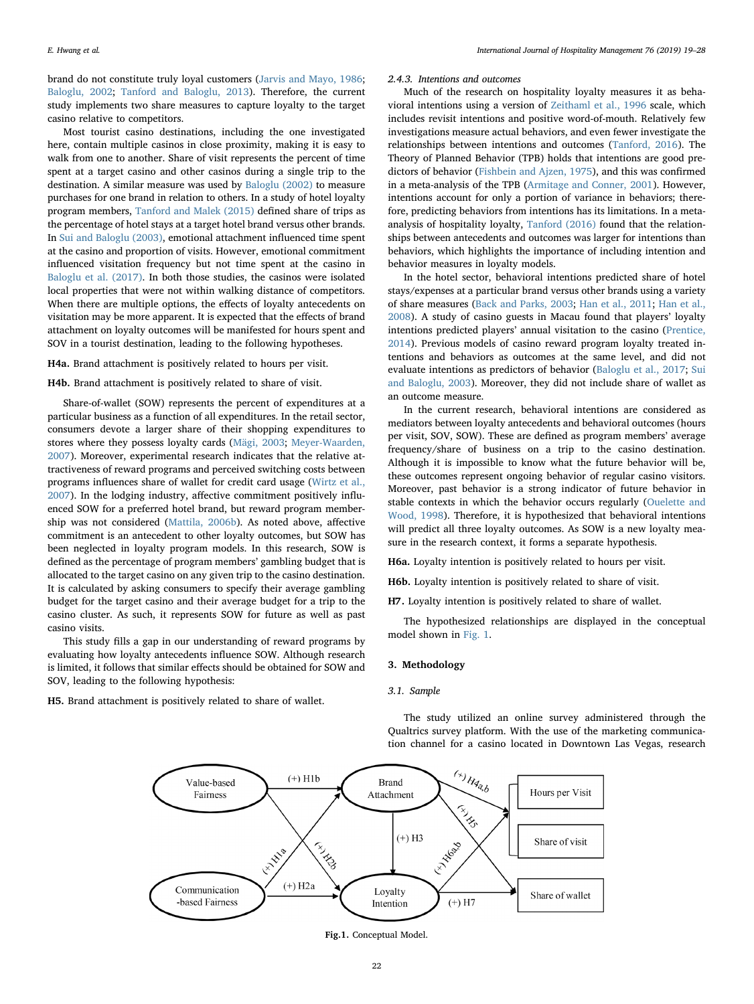brand do not constitute truly loyal customers ([Jarvis and Mayo, 1986](#page-8-38); [Baloglu, 2002;](#page-8-23) [Tanford and Baloglu, 2013\)](#page-9-10). Therefore, the current study implements two share measures to capture loyalty to the target casino relative to competitors.

Most tourist casino destinations, including the one investigated here, contain multiple casinos in close proximity, making it is easy to walk from one to another. Share of visit represents the percent of time spent at a target casino and other casinos during a single trip to the destination. A similar measure was used by [Baloglu \(2002\)](#page-8-23) to measure purchases for one brand in relation to others. In a study of hotel loyalty program members, [Tanford and Malek \(2015\)](#page-9-14) defined share of trips as the percentage of hotel stays at a target hotel brand versus other brands. In [Sui and Baloglu \(2003\),](#page-9-0) emotional attachment influenced time spent at the casino and proportion of visits. However, emotional commitment influenced visitation frequency but not time spent at the casino in [Baloglu et al. \(2017\).](#page-8-0) In both those studies, the casinos were isolated local properties that were not within walking distance of competitors. When there are multiple options, the effects of loyalty antecedents on visitation may be more apparent. It is expected that the effects of brand attachment on loyalty outcomes will be manifested for hours spent and SOV in a tourist destination, leading to the following hypotheses.

## H4a. Brand attachment is positively related to hours per visit.

H4b. Brand attachment is positively related to share of visit.

Share-of-wallet (SOW) represents the percent of expenditures at a particular business as a function of all expenditures. In the retail sector, consumers devote a larger share of their shopping expenditures to stores where they possess loyalty cards [\(Mägi, 2003;](#page-8-39) [Meyer-Waarden,](#page-8-40) [2007\)](#page-8-40). Moreover, experimental research indicates that the relative attractiveness of reward programs and perceived switching costs between programs influences share of wallet for credit card usage ([Wirtz et al.,](#page-9-15) [2007\)](#page-9-15). In the lodging industry, affective commitment positively influenced SOW for a preferred hotel brand, but reward program membership was not considered [\(Mattila, 2006b\)](#page-8-41). As noted above, affective commitment is an antecedent to other loyalty outcomes, but SOW has been neglected in loyalty program models. In this research, SOW is defined as the percentage of program members' gambling budget that is allocated to the target casino on any given trip to the casino destination. It is calculated by asking consumers to specify their average gambling budget for the target casino and their average budget for a trip to the casino cluster. As such, it represents SOW for future as well as past casino visits.

This study fills a gap in our understanding of reward programs by evaluating how loyalty antecedents influence SOW. Although research is limited, it follows that similar effects should be obtained for SOW and SOV, leading to the following hypothesis:

<span id="page-3-0"></span>H5. Brand attachment is positively related to share of wallet.

#### 2.4.3. Intentions and outcomes

Much of the research on hospitality loyalty measures it as behavioral intentions using a version of [Zeithaml et al., 1996](#page-9-16) scale, which includes revisit intentions and positive word-of-mouth. Relatively few investigations measure actual behaviors, and even fewer investigate the relationships between intentions and outcomes ([Tanford, 2016\)](#page-9-2). The Theory of Planned Behavior (TPB) holds that intentions are good predictors of behavior [\(Fishbein and Ajzen, 1975\)](#page-8-42), and this was confirmed in a meta-analysis of the TPB ([Armitage and Conner, 2001\)](#page-8-43). However, intentions account for only a portion of variance in behaviors; therefore, predicting behaviors from intentions has its limitations. In a metaanalysis of hospitality loyalty, [Tanford \(2016\)](#page-9-2) found that the relationships between antecedents and outcomes was larger for intentions than behaviors, which highlights the importance of including intention and behavior measures in loyalty models.

In the hotel sector, behavioral intentions predicted share of hotel stays/expenses at a particular brand versus other brands using a variety of share measures ([Back and Parks, 2003;](#page-8-44) [Han et al., 2011;](#page-8-45) [Han et al.,](#page-8-46) [2008\)](#page-8-46). A study of casino guests in Macau found that players' loyalty intentions predicted players' annual visitation to the casino ([Prentice,](#page-8-47) [2014\)](#page-8-47). Previous models of casino reward program loyalty treated intentions and behaviors as outcomes at the same level, and did not evaluate intentions as predictors of behavior [\(Baloglu et al., 2017;](#page-8-0) [Sui](#page-9-0) [and Baloglu, 2003](#page-9-0)). Moreover, they did not include share of wallet as an outcome measure.

In the current research, behavioral intentions are considered as mediators between loyalty antecedents and behavioral outcomes (hours per visit, SOV, SOW). These are defined as program members' average frequency/share of business on a trip to the casino destination. Although it is impossible to know what the future behavior will be, these outcomes represent ongoing behavior of regular casino visitors. Moreover, past behavior is a strong indicator of future behavior in stable contexts in which the behavior occurs regularly [\(Ouelette and](#page-8-48) [Wood, 1998](#page-8-48)). Therefore, it is hypothesized that behavioral intentions will predict all three loyalty outcomes. As SOW is a new loyalty measure in the research context, it forms a separate hypothesis.

H6a. Loyalty intention is positively related to hours per visit.

H6b. Loyalty intention is positively related to share of visit.

H7. Loyalty intention is positively related to share of wallet.

The hypothesized relationships are displayed in the conceptual model shown in [Fig. 1.](#page-3-0)

### 3. Methodology

#### 3.1. Sample

The study utilized an online survey administered through the Qualtrics survey platform. With the use of the marketing communication channel for a casino located in Downtown Las Vegas, research



Fig.1. Conceptual Model.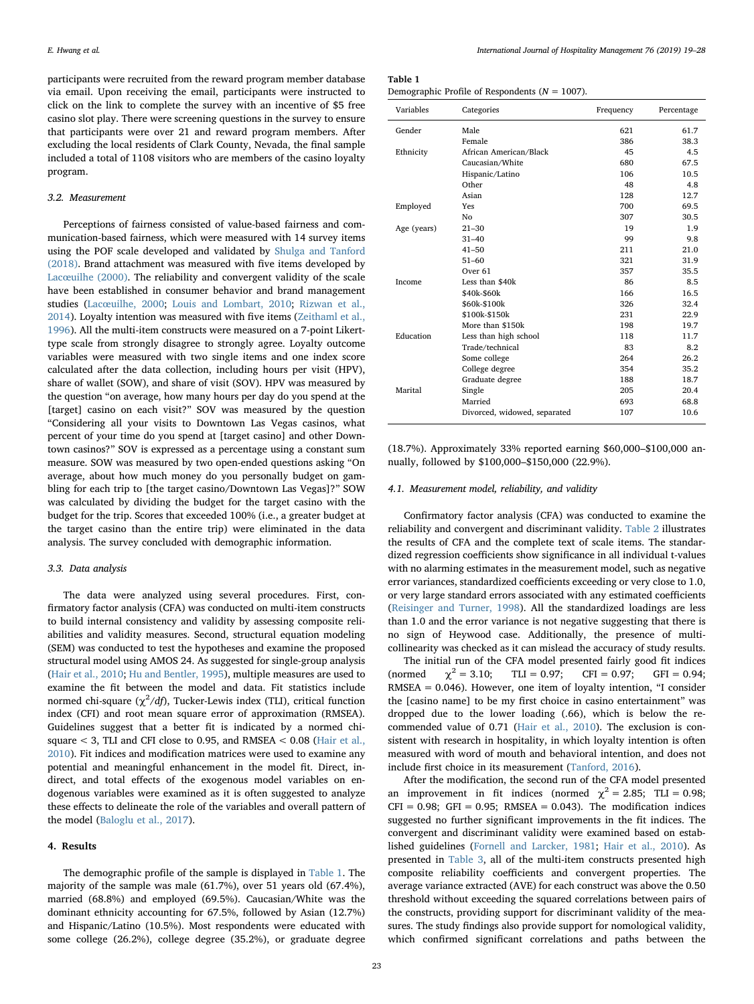participants were recruited from the reward program member database via email. Upon receiving the email, participants were instructed to click on the link to complete the survey with an incentive of \$5 free casino slot play. There were screening questions in the survey to ensure that participants were over 21 and reward program members. After excluding the local residents of Clark County, Nevada, the final sample included a total of 1108 visitors who are members of the casino loyalty program.

# 3.2. Measurement

Perceptions of fairness consisted of value-based fairness and communication-based fairness, which were measured with 14 survey items using the POF scale developed and validated by [Shulga and Tanford](#page-9-9) [\(2018\).](#page-9-9) Brand attachment was measured with five items developed by Lacœ[uilhe \(2000\).](#page-8-49) The reliability and convergent validity of the scale have been established in consumer behavior and brand management studies (Lacœ[uilhe, 2000;](#page-8-49) [Louis and Lombart, 2010](#page-8-50); [Rizwan et al.,](#page-8-51) [2014\)](#page-8-51). Loyalty intention was measured with five items [\(Zeithaml et al.,](#page-9-16) [1996\)](#page-9-16). All the multi-item constructs were measured on a 7-point Likerttype scale from strongly disagree to strongly agree. Loyalty outcome variables were measured with two single items and one index score calculated after the data collection, including hours per visit (HPV), share of wallet (SOW), and share of visit (SOV). HPV was measured by the question "on average, how many hours per day do you spend at the [target] casino on each visit?" SOV was measured by the question "Considering all your visits to Downtown Las Vegas casinos, what percent of your time do you spend at [target casino] and other Downtown casinos?" SOV is expressed as a percentage using a constant sum measure. SOW was measured by two open-ended questions asking "On average, about how much money do you personally budget on gambling for each trip to [the target casino/Downtown Las Vegas]?" SOW was calculated by dividing the budget for the target casino with the budget for the trip. Scores that exceeded 100% (i.e., a greater budget at the target casino than the entire trip) were eliminated in the data analysis. The survey concluded with demographic information.

# 3.3. Data analysis

The data were analyzed using several procedures. First, confirmatory factor analysis (CFA) was conducted on multi-item constructs to build internal consistency and validity by assessing composite reliabilities and validity measures. Second, structural equation modeling (SEM) was conducted to test the hypotheses and examine the proposed structural model using AMOS 24. As suggested for single-group analysis ([Hair et al., 2010;](#page-8-52) [Hu and Bentler, 1995\)](#page-8-53), multiple measures are used to examine the fit between the model and data. Fit statistics include normed chi-square ( $\chi^2/df$ ), Tucker-Lewis index (TLI), critical function index (CFI) and root mean square error of approximation (RMSEA). Guidelines suggest that a better fit is indicated by a normed chisquare < 3, TLI and CFI close to 0.95, and RMSEA < 0.08 [\(Hair et al.,](#page-8-52) [2010\)](#page-8-52). Fit indices and modification matrices were used to examine any potential and meaningful enhancement in the model fit. Direct, indirect, and total effects of the exogenous model variables on endogenous variables were examined as it is often suggested to analyze these effects to delineate the role of the variables and overall pattern of the model ([Baloglu et al., 2017](#page-8-0)).

# 4. Results

The demographic profile of the sample is displayed in [Table 1.](#page-4-0) The majority of the sample was male (61.7%), over 51 years old (67.4%), married (68.8%) and employed (69.5%). Caucasian/White was the dominant ethnicity accounting for 67.5%, followed by Asian (12.7%) and Hispanic/Latino (10.5%). Most respondents were educated with some college (26.2%), college degree (35.2%), or graduate degree

<span id="page-4-0"></span>

| Demographic Profile of Respondents ( $N = 1007$ ). |  |
|----------------------------------------------------|--|
|----------------------------------------------------|--|

| Variables   | Categories                   | Frequency | Percentage |
|-------------|------------------------------|-----------|------------|
| Gender      | Male                         | 621       | 61.7       |
|             | Female                       | 386       | 38.3       |
| Ethnicity   | African American/Black       | 45        | 4.5        |
|             | Caucasian/White              | 680       | 67.5       |
|             | Hispanic/Latino              | 106       | 10.5       |
|             | Other                        | 48        | 4.8        |
|             | Asian                        | 128       | 12.7       |
| Employed    | Yes                          | 700       | 69.5       |
|             | No                           | 307       | 30.5       |
| Age (years) | $21 - 30$                    | 19        | 1.9        |
|             | $31 - 40$                    | 99        | 9.8        |
|             | $41 - 50$                    | 211       | 21.0       |
|             | $51 - 60$                    | 321       | 31.9       |
|             | Over <sub>61</sub>           | 357       | 35.5       |
| Income      | Less than \$40k              | 86        | 8.5        |
|             | \$40k-\$60k                  | 166       | 16.5       |
|             | \$60k-\$100k                 | 326       | 32.4       |
|             | \$100k-\$150k                | 231       | 22.9       |
|             | More than \$150k             | 198       | 19.7       |
| Education   | Less than high school        | 118       | 11.7       |
|             | Trade/technical              | 83        | 8.2        |
|             | Some college                 | 264       | 26.2       |
|             | College degree               | 354       | 35.2       |
|             | Graduate degree              | 188       | 18.7       |
| Marital     | Single                       | 205       | 20.4       |
|             | Married                      | 693       | 68.8       |
|             | Divorced, widowed, separated | 107       | 10.6       |

(18.7%). Approximately 33% reported earning \$60,000–\$100,000 annually, followed by \$100,000–\$150,000 (22.9%).

#### 4.1. Measurement model, reliability, and validity

Confirmatory factor analysis (CFA) was conducted to examine the reliability and convergent and discriminant validity. [Table 2](#page-5-0) illustrates the results of CFA and the complete text of scale items. The standardized regression coefficients show significance in all individual t-values with no alarming estimates in the measurement model, such as negative error variances, standardized coefficients exceeding or very close to 1.0, or very large standard errors associated with any estimated coefficients ([Reisinger and Turner, 1998\)](#page-8-54). All the standardized loadings are less than 1.0 and the error variance is not negative suggesting that there is no sign of Heywood case. Additionally, the presence of multicollinearity was checked as it can mislead the accuracy of study results.

The initial run of the CFA model presented fairly good fit indices (normed  $\chi^2 = 3.10$ ; TLI = 0.97; CFI = 0.97; GFI = 0.94; RMSEA = 0.046). However, one item of loyalty intention, "I consider the [casino name] to be my first choice in casino entertainment" was dropped due to the lower loading (.66), which is below the recommended value of 0.71 ([Hair et al., 2010\)](#page-8-52). The exclusion is consistent with research in hospitality, in which loyalty intention is often measured with word of mouth and behavioral intention, and does not include first choice in its measurement ([Tanford, 2016\)](#page-9-2).

After the modification, the second run of the CFA model presented an improvement in fit indices (normed  $\chi^2 = 2.85$ ; TLI = 0.98;  $CFI = 0.98$ ;  $GFI = 0.95$ ; RMSEA = 0.043). The modification indices suggested no further significant improvements in the fit indices. The convergent and discriminant validity were examined based on established guidelines [\(Fornell and Larcker, 1981;](#page-8-55) [Hair et al., 2010\)](#page-8-52). As presented in [Table 3,](#page-5-1) all of the multi-item constructs presented high composite reliability coefficients and convergent properties. The average variance extracted (AVE) for each construct was above the 0.50 threshold without exceeding the squared correlations between pairs of the constructs, providing support for discriminant validity of the measures. The study findings also provide support for nomological validity, which confirmed significant correlations and paths between the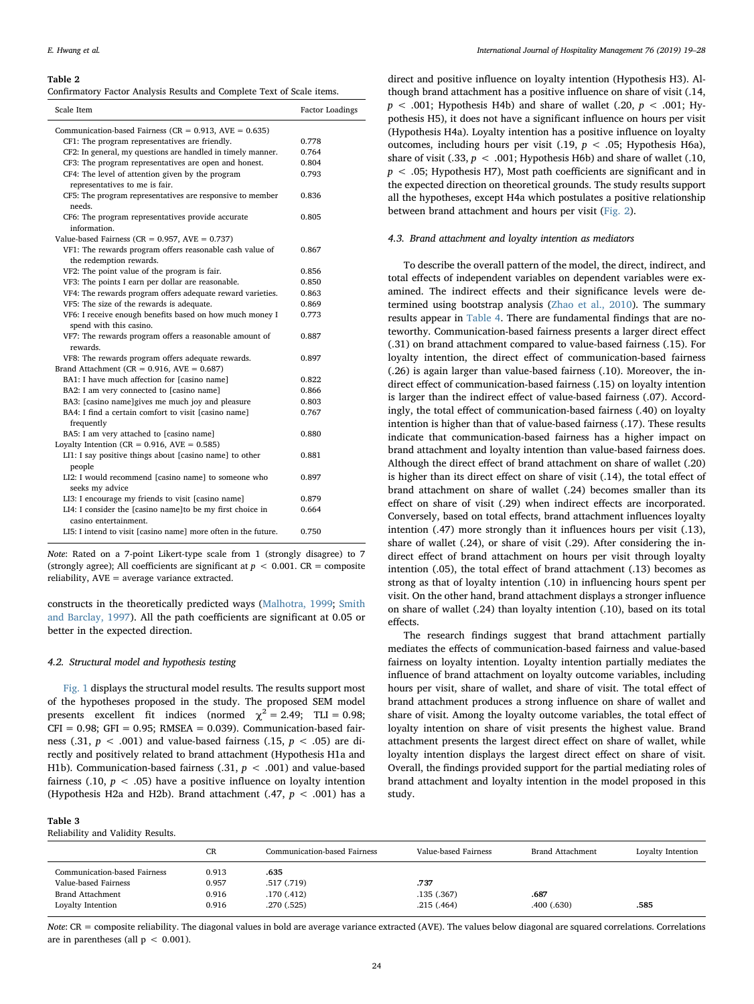#### <span id="page-5-0"></span>Table 2

| Scale Item                                                                          | <b>Factor Loadings</b> |
|-------------------------------------------------------------------------------------|------------------------|
| Communication-based Fairness ( $CR = 0.913$ , $AVE = 0.635$ )                       |                        |
| CF1: The program representatives are friendly.                                      | 0.778                  |
| CF2: In general, my questions are handled in timely manner.                         | 0.764                  |
| CF3: The program representatives are open and honest.                               | 0.804                  |
| CF4: The level of attention given by the program<br>representatives to me is fair.  | 0.793                  |
| CF5: The program representatives are responsive to member<br>needs.                 | 0.836                  |
| CF6: The program representatives provide accurate<br>information.                   | 0.805                  |
| Value-based Fairness ( $CR = 0.957$ , $AVE = 0.737$ )                               |                        |
| VF1: The rewards program offers reasonable cash value of<br>the redemption rewards. | 0.867                  |
| VF2: The point value of the program is fair.                                        | 0.856                  |
| VF3: The points I earn per dollar are reasonable.                                   | 0.850                  |
| VF4: The rewards program offers adequate reward varieties.                          | 0.863                  |
| VF5: The size of the rewards is adequate.                                           | 0.869                  |
| VF6: I receive enough benefits based on how much money I<br>spend with this casino. | 0.773                  |
| VF7: The rewards program offers a reasonable amount of<br>rewards.                  | 0.887                  |
| VF8: The rewards program offers adequate rewards.                                   | 0.897                  |
| Brand Attachment ( $CR = 0.916$ , $AVE = 0.687$ )                                   |                        |
| BA1: I have much affection for [casino name]                                        | 0.822                  |
| BA2: I am very connected to [casino name]                                           | 0.866                  |
| BA3: [casino name]gives me much joy and pleasure                                    | 0.803                  |
| BA4: I find a certain comfort to visit [casino name]<br>frequently                  | 0.767                  |
| BA5: I am very attached to [casino name]                                            | 0.880                  |
| Loyalty Intention ( $CR = 0.916$ , $AVE = 0.585$ )                                  |                        |
| LI1: I say positive things about [casino name] to other<br>people                   | 0.881                  |
| LI2: I would recommend [casino name] to someone who<br>seeks my advice              | 0.897                  |
| LI3: I encourage my friends to visit [casino name]                                  | 0.879                  |
| LI4: I consider the [casino name]to be my first choice in<br>casino entertainment.  | 0.664                  |
| LI5: I intend to visit [casino name] more often in the future.                      | 0.750                  |

Note: Rated on a 7-point Likert-type scale from 1 (strongly disagree) to 7 (strongly agree); All coefficients are significant at  $p < 0.001$ . CR = composite reliability, AVE = average variance extracted.

constructs in the theoretically predicted ways [\(Malhotra, 1999;](#page-8-56) [Smith](#page-9-17) [and Barclay, 1997\)](#page-9-17). All the path coefficients are significant at 0.05 or better in the expected direction.

# 4.2. Structural model and hypothesis testing

[Fig. 1](#page-3-0) displays the structural model results. The results support most of the hypotheses proposed in the study. The proposed SEM model presents excellent fit indices (normed  $\chi^2 = 2.49$ ; TLI = 0.98;  $CFI = 0.98$ ;  $GFI = 0.95$ ; RMSEA = 0.039). Communication-based fairness (.31,  $p < .001$ ) and value-based fairness (.15,  $p < .05$ ) are directly and positively related to brand attachment (Hypothesis H1a and H1b). Communication-based fairness (.31,  $p < .001$ ) and value-based fairness (.10,  $p < .05$ ) have a positive influence on loyalty intention (Hypothesis H2a and H2b). Brand attachment (.47,  $p < .001$ ) has a

# <span id="page-5-1"></span>Table 3

Reliability and Validity Results.

direct and positive influence on loyalty intention (Hypothesis H3). Although brand attachment has a positive influence on share of visit (.14,  $p < .001$ ; Hypothesis H4b) and share of wallet (.20,  $p < .001$ ; Hypothesis H5), it does not have a significant influence on hours per visit (Hypothesis H4a). Loyalty intention has a positive influence on loyalty outcomes, including hours per visit  $(.19, p < .05;$  Hypothesis H6a), share of visit (.33,  $p < .001$ ; Hypothesis H6b) and share of wallet (.10,  $p < .05$ ; Hypothesis H7), Most path coefficients are significant and in the expected direction on theoretical grounds. The study results support all the hypotheses, except H4a which postulates a positive relationship between brand attachment and hours per visit [\(Fig. 2\)](#page-6-0).

### 4.3. Brand attachment and loyalty intention as mediators

To describe the overall pattern of the model, the direct, indirect, and total effects of independent variables on dependent variables were examined. The indirect effects and their significance levels were determined using bootstrap analysis ([Zhao et al., 2010](#page-9-18)). The summary results appear in [Table 4.](#page-6-1) There are fundamental findings that are noteworthy. Communication-based fairness presents a larger direct effect (.31) on brand attachment compared to value-based fairness (.15). For loyalty intention, the direct effect of communication-based fairness (.26) is again larger than value-based fairness (.10). Moreover, the indirect effect of communication-based fairness (.15) on loyalty intention is larger than the indirect effect of value-based fairness (.07). Accordingly, the total effect of communication-based fairness (.40) on loyalty intention is higher than that of value-based fairness (.17). These results indicate that communication-based fairness has a higher impact on brand attachment and loyalty intention than value-based fairness does. Although the direct effect of brand attachment on share of wallet (.20) is higher than its direct effect on share of visit (.14), the total effect of brand attachment on share of wallet (.24) becomes smaller than its effect on share of visit (.29) when indirect effects are incorporated. Conversely, based on total effects, brand attachment influences loyalty intention (.47) more strongly than it influences hours per visit (.13), share of wallet (.24), or share of visit (.29). After considering the indirect effect of brand attachment on hours per visit through loyalty intention (.05), the total effect of brand attachment (.13) becomes as strong as that of loyalty intention (.10) in influencing hours spent per visit. On the other hand, brand attachment displays a stronger influence on share of wallet (.24) than loyalty intention (.10), based on its total effects.

The research findings suggest that brand attachment partially mediates the effects of communication-based fairness and value-based fairness on loyalty intention. Loyalty intention partially mediates the influence of brand attachment on loyalty outcome variables, including hours per visit, share of wallet, and share of visit. The total effect of brand attachment produces a strong influence on share of wallet and share of visit. Among the loyalty outcome variables, the total effect of loyalty intention on share of visit presents the highest value. Brand attachment presents the largest direct effect on share of wallet, while loyalty intention displays the largest direct effect on share of visit. Overall, the findings provided support for the partial mediating roles of brand attachment and loyalty intention in the model proposed in this study.

|                                                                                 | CR                      | Communication-based Fairness      | Value-based Fairness | <b>Brand Attachment</b> | Loyalty Intention |
|---------------------------------------------------------------------------------|-------------------------|-----------------------------------|----------------------|-------------------------|-------------------|
| Communication-based Fairness<br>Value-based Fairness<br><b>Brand Attachment</b> | 0.913<br>0.957<br>0.916 | .635<br>.517 (.719)<br>.170(.412) | .737<br>.135(.367)   | .687                    |                   |
| Loyalty Intention                                                               | 0.916                   | .270(.525)                        | .215(.464)           | .400(.630)              | .585              |

Note: CR = composite reliability. The diagonal values in bold are average variance extracted (AVE). The values below diagonal are squared correlations. Correlations are in parentheses (all  $p < 0.001$ ).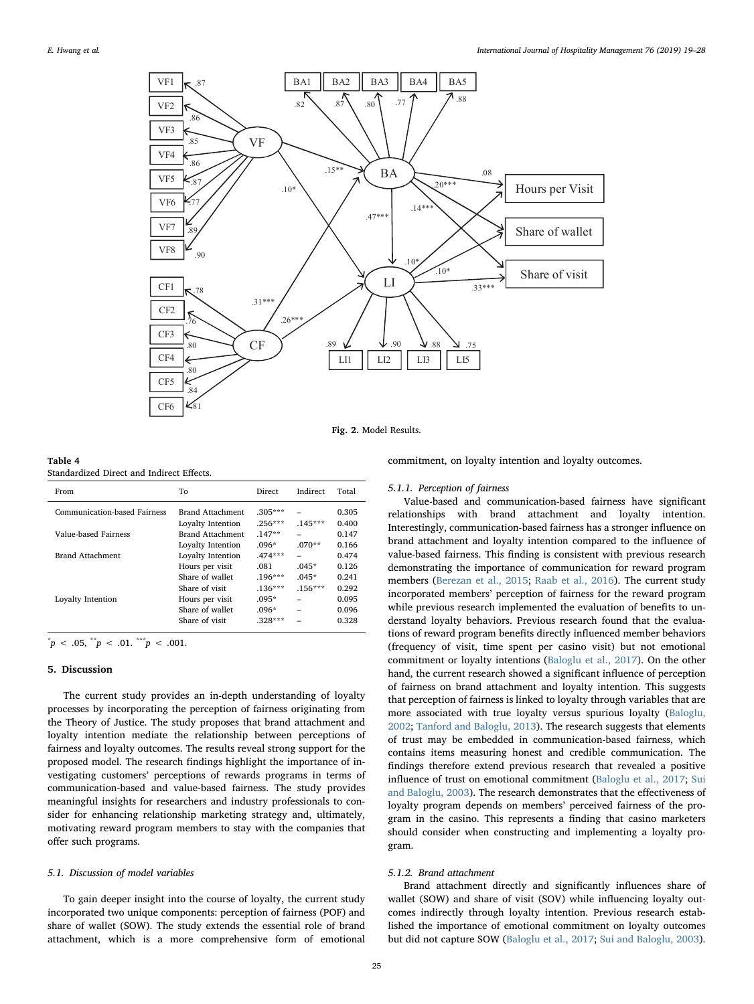<span id="page-6-0"></span>

Fig. 2. Model Results.

<span id="page-6-1"></span>

| Table 4                                   |  |  |
|-------------------------------------------|--|--|
| Standardized Direct and Indirect Effects. |  |  |

| From                         | To                | Direct    | Indirect  | Total |
|------------------------------|-------------------|-----------|-----------|-------|
| Communication-based Fairness | Brand Attachment  | $.305***$ |           | 0.305 |
|                              | Loyalty Intention | $.256***$ | $.145***$ | 0.400 |
| Value-based Fairness         | Brand Attachment  | $.147**$  | -         | 0.147 |
|                              | Loyalty Intention | $.096*$   | $.070**$  | 0.166 |
| Brand Attachment             | Loyalty Intention | $.474***$ |           | 0.474 |
|                              | Hours per visit   | .081      | $.045*$   | 0.126 |
|                              | Share of wallet   | $.196***$ | $.045*$   | 0.241 |
|                              | Share of visit    | $.136***$ | $.156***$ | 0.292 |
| Loyalty Intention            | Hours per visit   | $.095*$   |           | 0.095 |
|                              | Share of wallet   | $.096*$   |           | 0.096 |
|                              | Share of visit    | $.328***$ |           | 0.328 |
|                              |                   |           |           |       |

 $p^* p < .05, \, \text{``$p < .01$.} \, \text{``$p < .001$.}$ 

## 5. Discussion

The current study provides an in-depth understanding of loyalty processes by incorporating the perception of fairness originating from the Theory of Justice. The study proposes that brand attachment and loyalty intention mediate the relationship between perceptions of fairness and loyalty outcomes. The results reveal strong support for the proposed model. The research findings highlight the importance of investigating customers' perceptions of rewards programs in terms of communication-based and value-based fairness. The study provides meaningful insights for researchers and industry professionals to consider for enhancing relationship marketing strategy and, ultimately, motivating reward program members to stay with the companies that offer such programs.

#### 5.1. Discussion of model variables

To gain deeper insight into the course of loyalty, the current study incorporated two unique components: perception of fairness (POF) and share of wallet (SOW). The study extends the essential role of brand attachment, which is a more comprehensive form of emotional

commitment, on loyalty intention and loyalty outcomes.

#### 5.1.1. Perception of fairness

Value-based and communication-based fairness have significant relationships with brand attachment and loyalty intention. Interestingly, communication-based fairness has a stronger influence on brand attachment and loyalty intention compared to the influence of value-based fairness. This finding is consistent with previous research demonstrating the importance of communication for reward program members ([Berezan et al., 2015](#page-8-22); [Raab et al., 2016](#page-8-28)). The current study incorporated members' perception of fairness for the reward program while previous research implemented the evaluation of benefits to understand loyalty behaviors. Previous research found that the evaluations of reward program benefits directly influenced member behaviors (frequency of visit, time spent per casino visit) but not emotional commitment or loyalty intentions ([Baloglu et al., 2017\)](#page-8-0). On the other hand, the current research showed a significant influence of perception of fairness on brand attachment and loyalty intention. This suggests that perception of fairness is linked to loyalty through variables that are more associated with true loyalty versus spurious loyalty ([Baloglu,](#page-8-23) [2002;](#page-8-23) [Tanford and Baloglu, 2013\)](#page-9-10). The research suggests that elements of trust may be embedded in communication-based fairness, which contains items measuring honest and credible communication. The findings therefore extend previous research that revealed a positive influence of trust on emotional commitment ([Baloglu et al., 2017;](#page-8-0) [Sui](#page-9-0) [and Baloglu, 2003\)](#page-9-0). The research demonstrates that the effectiveness of loyalty program depends on members' perceived fairness of the program in the casino. This represents a finding that casino marketers should consider when constructing and implementing a loyalty program.

#### 5.1.2. Brand attachment

Brand attachment directly and significantly influences share of wallet (SOW) and share of visit (SOV) while influencing loyalty outcomes indirectly through loyalty intention. Previous research established the importance of emotional commitment on loyalty outcomes but did not capture SOW [\(Baloglu et al., 2017;](#page-8-0) [Sui and Baloglu, 2003](#page-9-0)).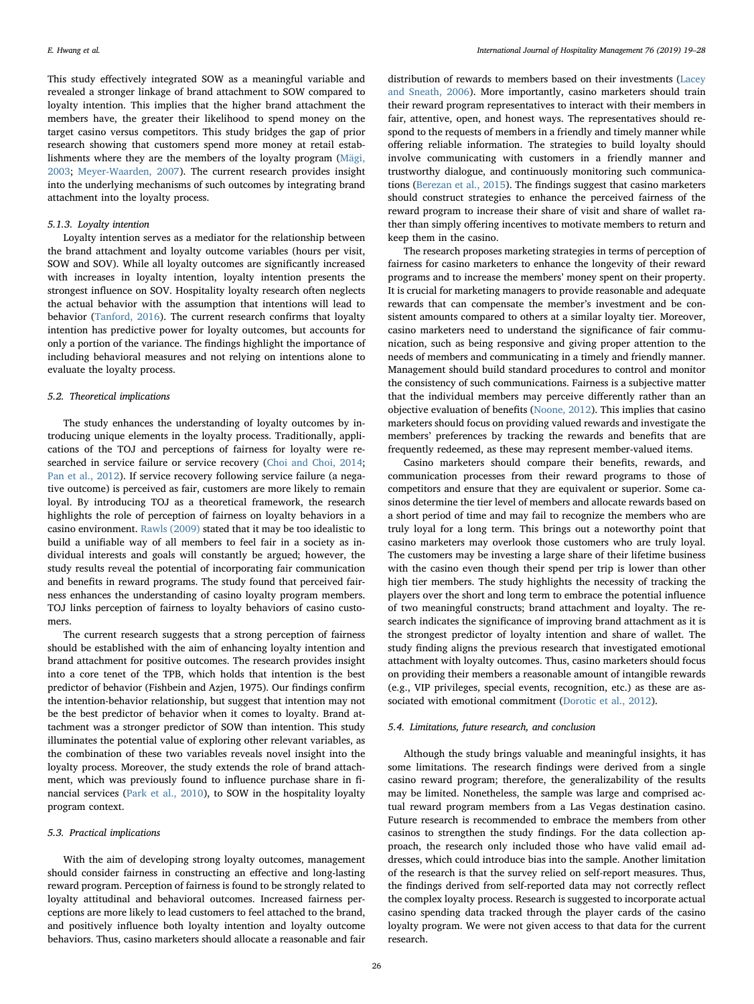This study effectively integrated SOW as a meaningful variable and revealed a stronger linkage of brand attachment to SOW compared to loyalty intention. This implies that the higher brand attachment the members have, the greater their likelihood to spend money on the target casino versus competitors. This study bridges the gap of prior research showing that customers spend more money at retail establishments where they are the members of the loyalty program ([Mägi,](#page-8-39) [2003;](#page-8-39) [Meyer-Waarden, 2007\)](#page-8-40). The current research provides insight into the underlying mechanisms of such outcomes by integrating brand attachment into the loyalty process.

# 5.1.3. Loyalty intention

Loyalty intention serves as a mediator for the relationship between the brand attachment and loyalty outcome variables (hours per visit, SOW and SOV). While all loyalty outcomes are significantly increased with increases in loyalty intention, loyalty intention presents the strongest influence on SOV. Hospitality loyalty research often neglects the actual behavior with the assumption that intentions will lead to behavior ([Tanford, 2016](#page-9-2)). The current research confirms that loyalty intention has predictive power for loyalty outcomes, but accounts for only a portion of the variance. The findings highlight the importance of including behavioral measures and not relying on intentions alone to evaluate the loyalty process.

# 5.2. Theoretical implications

The study enhances the understanding of loyalty outcomes by introducing unique elements in the loyalty process. Traditionally, applications of the TOJ and perceptions of fairness for loyalty were researched in service failure or service recovery ([Choi and Choi, 2014](#page-8-34); [Pan et al., 2012](#page-8-36)). If service recovery following service failure (a negative outcome) is perceived as fair, customers are more likely to remain loyal. By introducing TOJ as a theoretical framework, the research highlights the role of perception of fairness on loyalty behaviors in a casino environment. [Rawls \(2009\)](#page-8-6) stated that it may be too idealistic to build a unifiable way of all members to feel fair in a society as individual interests and goals will constantly be argued; however, the study results reveal the potential of incorporating fair communication and benefits in reward programs. The study found that perceived fairness enhances the understanding of casino loyalty program members. TOJ links perception of fairness to loyalty behaviors of casino customers.

The current research suggests that a strong perception of fairness should be established with the aim of enhancing loyalty intention and brand attachment for positive outcomes. The research provides insight into a core tenet of the TPB, which holds that intention is the best predictor of behavior (Fishbein and Azjen, 1975). Our findings confirm the intention-behavior relationship, but suggest that intention may not be the best predictor of behavior when it comes to loyalty. Brand attachment was a stronger predictor of SOW than intention. This study illuminates the potential value of exploring other relevant variables, as the combination of these two variables reveals novel insight into the loyalty process. Moreover, the study extends the role of brand attachment, which was previously found to influence purchase share in financial services ([Park et al., 2010\)](#page-8-5), to SOW in the hospitality loyalty program context.

# 5.3. Practical implications

With the aim of developing strong loyalty outcomes, management should consider fairness in constructing an effective and long-lasting reward program. Perception of fairness is found to be strongly related to loyalty attitudinal and behavioral outcomes. Increased fairness perceptions are more likely to lead customers to feel attached to the brand, and positively influence both loyalty intention and loyalty outcome behaviors. Thus, casino marketers should allocate a reasonable and fair

distribution of rewards to members based on their investments ([Lacey](#page-8-2) [and Sneath, 2006\)](#page-8-2). More importantly, casino marketers should train their reward program representatives to interact with their members in fair, attentive, open, and honest ways. The representatives should respond to the requests of members in a friendly and timely manner while offering reliable information. The strategies to build loyalty should involve communicating with customers in a friendly manner and trustworthy dialogue, and continuously monitoring such communications [\(Berezan et al., 2015\)](#page-8-22). The findings suggest that casino marketers should construct strategies to enhance the perceived fairness of the reward program to increase their share of visit and share of wallet rather than simply offering incentives to motivate members to return and keep them in the casino.

The research proposes marketing strategies in terms of perception of fairness for casino marketers to enhance the longevity of their reward programs and to increase the members' money spent on their property. It is crucial for marketing managers to provide reasonable and adequate rewards that can compensate the member's investment and be consistent amounts compared to others at a similar loyalty tier. Moreover, casino marketers need to understand the significance of fair communication, such as being responsive and giving proper attention to the needs of members and communicating in a timely and friendly manner. Management should build standard procedures to control and monitor the consistency of such communications. Fairness is a subjective matter that the individual members may perceive differently rather than an objective evaluation of benefits ([Noone, 2012](#page-8-9)). This implies that casino marketers should focus on providing valued rewards and investigate the members' preferences by tracking the rewards and benefits that are frequently redeemed, as these may represent member-valued items.

Casino marketers should compare their benefits, rewards, and communication processes from their reward programs to those of competitors and ensure that they are equivalent or superior. Some casinos determine the tier level of members and allocate rewards based on a short period of time and may fail to recognize the members who are truly loyal for a long term. This brings out a noteworthy point that casino marketers may overlook those customers who are truly loyal. The customers may be investing a large share of their lifetime business with the casino even though their spend per trip is lower than other high tier members. The study highlights the necessity of tracking the players over the short and long term to embrace the potential influence of two meaningful constructs; brand attachment and loyalty. The research indicates the significance of improving brand attachment as it is the strongest predictor of loyalty intention and share of wallet. The study finding aligns the previous research that investigated emotional attachment with loyalty outcomes. Thus, casino marketers should focus on providing their members a reasonable amount of intangible rewards (e.g., VIP privileges, special events, recognition, etc.) as these are associated with emotional commitment [\(Dorotic et al., 2012\)](#page-8-57).

# 5.4. Limitations, future research, and conclusion

Although the study brings valuable and meaningful insights, it has some limitations. The research findings were derived from a single casino reward program; therefore, the generalizability of the results may be limited. Nonetheless, the sample was large and comprised actual reward program members from a Las Vegas destination casino. Future research is recommended to embrace the members from other casinos to strengthen the study findings. For the data collection approach, the research only included those who have valid email addresses, which could introduce bias into the sample. Another limitation of the research is that the survey relied on self-report measures. Thus, the findings derived from self-reported data may not correctly reflect the complex loyalty process. Research is suggested to incorporate actual casino spending data tracked through the player cards of the casino loyalty program. We were not given access to that data for the current research.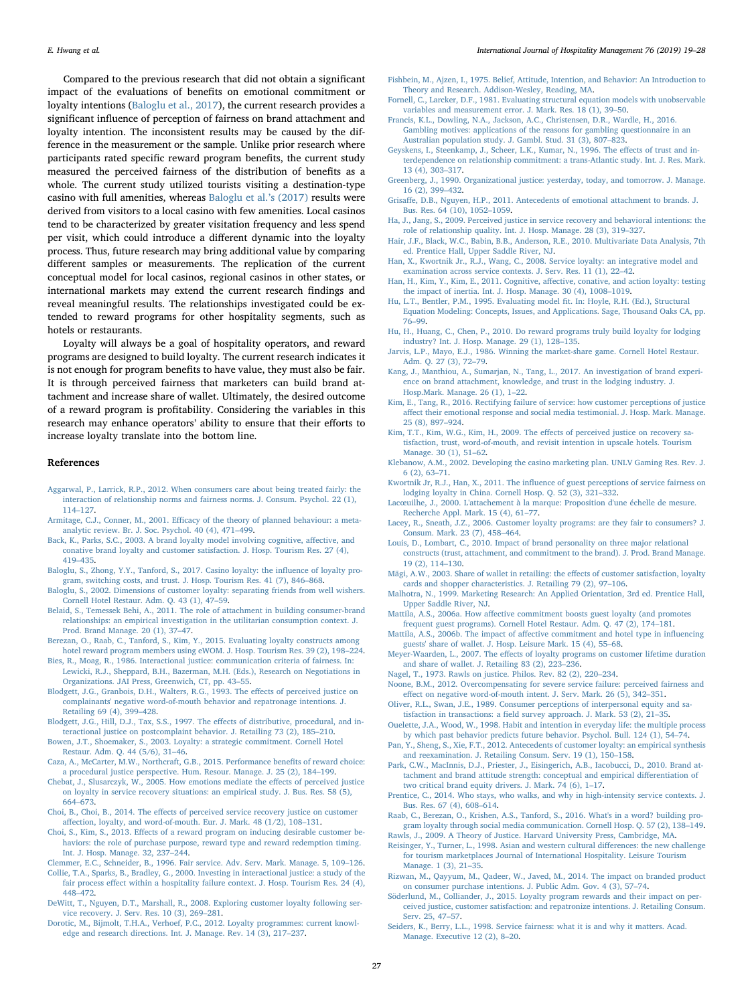Compared to the previous research that did not obtain a significant impact of the evaluations of benefits on emotional commitment or loyalty intentions [\(Baloglu et al., 2017\)](#page-8-0), the current research provides a significant influence of perception of fairness on brand attachment and loyalty intention. The inconsistent results may be caused by the difference in the measurement or the sample. Unlike prior research where participants rated specific reward program benefits, the current study measured the perceived fairness of the distribution of benefits as a whole. The current study utilized tourists visiting a destination-type casino with full amenities, whereas [Baloglu et al.](#page-8-0)'s (2017) results were derived from visitors to a local casino with few amenities. Local casinos tend to be characterized by greater visitation frequency and less spend per visit, which could introduce a different dynamic into the loyalty process. Thus, future research may bring additional value by comparing different samples or measurements. The replication of the current conceptual model for local casinos, regional casinos in other states, or international markets may extend the current research findings and reveal meaningful results. The relationships investigated could be extended to reward programs for other hospitality segments, such as hotels or restaurants.

Loyalty will always be a goal of hospitality operators, and reward programs are designed to build loyalty. The current research indicates it is not enough for program benefits to have value, they must also be fair. It is through perceived fairness that marketers can build brand attachment and increase share of wallet. Ultimately, the desired outcome of a reward program is profitability. Considering the variables in this research may enhance operators' ability to ensure that their efforts to increase loyalty translate into the bottom line.

#### References

- <span id="page-8-12"></span>[Aggarwal, P., Larrick, R.P., 2012. When consumers care about being treated fairly: the](http://refhub.elsevier.com/S0278-4319(17)30393-6/sbref0005) [interaction of relationship norms and fairness norms. J. Consum. Psychol. 22 \(1\),](http://refhub.elsevier.com/S0278-4319(17)30393-6/sbref0005) 114–[127](http://refhub.elsevier.com/S0278-4319(17)30393-6/sbref0005).
- <span id="page-8-43"></span>Armitage, C.J., Conner, M., 2001. Effi[cacy of the theory of planned behaviour: a meta](http://refhub.elsevier.com/S0278-4319(17)30393-6/sbref0010)[analytic review. Br. J. Soc. Psychol. 40 \(4\), 471](http://refhub.elsevier.com/S0278-4319(17)30393-6/sbref0010)–499.
- <span id="page-8-44"></span>[Back, K., Parks, S.C., 2003. A brand loyalty model involving cognitive, a](http://refhub.elsevier.com/S0278-4319(17)30393-6/sbref0015)ffective, and [conative brand loyalty and customer satisfaction. J. Hosp. Tourism Res. 27 \(4\),](http://refhub.elsevier.com/S0278-4319(17)30393-6/sbref0015) 419–[435](http://refhub.elsevier.com/S0278-4319(17)30393-6/sbref0015).
- <span id="page-8-0"></span>[Baloglu, S., Zhong, Y.Y., Tanford, S., 2017. Casino loyalty: the in](http://refhub.elsevier.com/S0278-4319(17)30393-6/sbref0020)fluence of loyalty pro[gram, switching costs, and trust. J. Hosp. Tourism Res. 41 \(7\), 846](http://refhub.elsevier.com/S0278-4319(17)30393-6/sbref0020)–868.
- <span id="page-8-23"></span>[Baloglu, S., 2002. Dimensions of customer loyalty: separating friends from well wishers.](http://refhub.elsevier.com/S0278-4319(17)30393-6/sbref0025) [Cornell Hotel Restaur. Adm. Q. 43 \(1\), 47](http://refhub.elsevier.com/S0278-4319(17)30393-6/sbref0025)–59.
- <span id="page-8-30"></span>[Belaid, S., Temessek Behi, A., 2011. The role of attachment in building consumer-brand](http://refhub.elsevier.com/S0278-4319(17)30393-6/sbref0030) [relationships: an empirical investigation in the utilitarian consumption context. J.](http://refhub.elsevier.com/S0278-4319(17)30393-6/sbref0030) [Prod. Brand Manage. 20 \(1\), 37](http://refhub.elsevier.com/S0278-4319(17)30393-6/sbref0030)–47.
- <span id="page-8-22"></span>[Berezan, O., Raab, C., Tanford, S., Kim, Y., 2015. Evaluating loyalty constructs among](http://refhub.elsevier.com/S0278-4319(17)30393-6/sbref0035) [hotel reward program members using eWOM. J. Hosp. Tourism Res. 39 \(2\), 198](http://refhub.elsevier.com/S0278-4319(17)30393-6/sbref0035)–224.
- <span id="page-8-10"></span>[Bies, R., Moag, R., 1986. Interactional justice: communication criteria of fairness. In:](http://refhub.elsevier.com/S0278-4319(17)30393-6/sbref0040) [Lewicki, R.J., Sheppard, B.H., Bazerman, M.H. \(Eds.\), Research on Negotiations in](http://refhub.elsevier.com/S0278-4319(17)30393-6/sbref0040) [Organizations. JAI Press, Greenwich, CT, pp. 43](http://refhub.elsevier.com/S0278-4319(17)30393-6/sbref0040)–55.
- <span id="page-8-37"></span>[Blodgett, J.G., Granbois, D.H., Walters, R.G., 1993. The e](http://refhub.elsevier.com/S0278-4319(17)30393-6/sbref0045)ffects of perceived justice on [complainants' negative word-of-mouth behavior and repatronage intentions. J.](http://refhub.elsevier.com/S0278-4319(17)30393-6/sbref0045) [Retailing 69 \(4\), 399](http://refhub.elsevier.com/S0278-4319(17)30393-6/sbref0045)–428.
- <span id="page-8-16"></span>[Blodgett, J.G., Hill, D.J., Tax, S.S., 1997. The e](http://refhub.elsevier.com/S0278-4319(17)30393-6/sbref0050)ffects of distributive, procedural, and in[teractional justice on postcomplaint behavior. J. Retailing 73 \(2\), 185](http://refhub.elsevier.com/S0278-4319(17)30393-6/sbref0050)–210.
- <span id="page-8-24"></span>[Bowen, J.T., Shoemaker, S., 2003. Loyalty: a strategic commitment. Cornell Hotel](http://refhub.elsevier.com/S0278-4319(17)30393-6/sbref0055) [Restaur. Adm. Q. 44 \(5/6\), 31](http://refhub.elsevier.com/S0278-4319(17)30393-6/sbref0055)–46.
- <span id="page-8-18"></span>[Caza, A., McCarter, M.W., Northcraft, G.B., 2015. Performance bene](http://refhub.elsevier.com/S0278-4319(17)30393-6/sbref0060)fits of reward choice: [a procedural justice perspective. Hum. Resour. Manage. J. 25 \(2\), 184](http://refhub.elsevier.com/S0278-4319(17)30393-6/sbref0060)–199.
- <span id="page-8-31"></span>[Chebat, J., Slusarczyk, W., 2005. How emotions mediate the e](http://refhub.elsevier.com/S0278-4319(17)30393-6/sbref0065)ffects of perceived justice [on loyalty in service recovery situations: an empirical study. J. Bus. Res. 58 \(5\),](http://refhub.elsevier.com/S0278-4319(17)30393-6/sbref0065) 664–[673](http://refhub.elsevier.com/S0278-4319(17)30393-6/sbref0065).
- <span id="page-8-34"></span>Choi, B., Choi, B., 2014. The eff[ects of perceived service recovery justice on customer](http://refhub.elsevier.com/S0278-4319(17)30393-6/sbref0070) aff[ection, loyalty, and word-of-mouth. Eur. J. Mark. 48 \(1/2\), 108](http://refhub.elsevier.com/S0278-4319(17)30393-6/sbref0070)–131.
- <span id="page-8-21"></span>Choi, S., Kim, S., 2013. Eff[ects of a reward program on inducing desirable customer be](http://refhub.elsevier.com/S0278-4319(17)30393-6/sbref0075)[haviors: the role of purchase purpose, reward type and reward redemption timing.](http://refhub.elsevier.com/S0278-4319(17)30393-6/sbref0075) [Int. J. Hosp. Manage. 32, 237](http://refhub.elsevier.com/S0278-4319(17)30393-6/sbref0075)–244.
- <span id="page-8-7"></span>[Clemmer, E.C., Schneider, B., 1996. Fair service. Adv. Serv. Mark. Manage. 5, 109](http://refhub.elsevier.com/S0278-4319(17)30393-6/sbref0080)–126.
- <span id="page-8-13"></span>[Collie, T.A., Sparks, B., Bradley, G., 2000. Investing in interactional justice: a study of the](http://refhub.elsevier.com/S0278-4319(17)30393-6/sbref0085) fair process eff[ect within a hospitality failure context. J. Hosp. Tourism Res. 24 \(4\),](http://refhub.elsevier.com/S0278-4319(17)30393-6/sbref0085) 448–[472](http://refhub.elsevier.com/S0278-4319(17)30393-6/sbref0085).
- <span id="page-8-32"></span>[DeWitt, T., Nguyen, D.T., Marshall, R., 2008. Exploring customer loyalty following ser](http://refhub.elsevier.com/S0278-4319(17)30393-6/sbref0090)[vice recovery. J. Serv. Res. 10 \(3\), 269](http://refhub.elsevier.com/S0278-4319(17)30393-6/sbref0090)–281.
- <span id="page-8-57"></span>[Dorotic, M., Bijmolt, T.H.A., Verhoef, P.C., 2012. Loyalty programmes: current knowl](http://refhub.elsevier.com/S0278-4319(17)30393-6/sbref0095)[edge and research directions. Int. J. Manage. Rev. 14 \(3\), 217](http://refhub.elsevier.com/S0278-4319(17)30393-6/sbref0095)–237.
- <span id="page-8-42"></span>[Fishbein, M., Ajzen, I., 1975. Belief, Attitude, Intention, and Behavior: An Introduction to](http://refhub.elsevier.com/S0278-4319(17)30393-6/sbref0100) [Theory and Research. Addison-Wesley, Reading, MA](http://refhub.elsevier.com/S0278-4319(17)30393-6/sbref0100).
- <span id="page-8-55"></span>[Fornell, C., Larcker, D.F., 1981. Evaluating structural equation models with unobservable](http://refhub.elsevier.com/S0278-4319(17)30393-6/sbref0105) [variables and measurement error. J. Mark. Res. 18 \(1\), 39](http://refhub.elsevier.com/S0278-4319(17)30393-6/sbref0105)–50.
- <span id="page-8-4"></span>[Francis, K.L., Dowling, N.A., Jackson, A.C., Christensen, D.R., Wardle, H., 2016.](http://refhub.elsevier.com/S0278-4319(17)30393-6/sbref0110) [Gambling motives: applications of the reasons for gambling questionnaire in an](http://refhub.elsevier.com/S0278-4319(17)30393-6/sbref0110)
- [Australian population study. J. Gambl. Stud. 31 \(3\), 807](http://refhub.elsevier.com/S0278-4319(17)30393-6/sbref0110)–823. [Geyskens, I., Steenkamp, J., Scheer, L.K., Kumar, N., 1996. The e](http://refhub.elsevier.com/S0278-4319(17)30393-6/sbref0115)ffects of trust and in-
- <span id="page-8-25"></span>[terdependence on relationship commitment: a trans-Atlantic study. Int. J. Res. Mark.](http://refhub.elsevier.com/S0278-4319(17)30393-6/sbref0115) [13 \(4\), 303](http://refhub.elsevier.com/S0278-4319(17)30393-6/sbref0115)–317.
- <span id="page-8-11"></span>[Greenberg, J., 1990. Organizational justice: yesterday, today, and tomorrow. J. Manage.](http://refhub.elsevier.com/S0278-4319(17)30393-6/sbref0120) [16 \(2\), 399](http://refhub.elsevier.com/S0278-4319(17)30393-6/sbref0120)–432.
- <span id="page-8-26"></span>Grisaff[e, D.B., Nguyen, H.P., 2011. Antecedents of emotional attachment to brands. J.](http://refhub.elsevier.com/S0278-4319(17)30393-6/sbref0125) [Bus. Res. 64 \(10\), 1052](http://refhub.elsevier.com/S0278-4319(17)30393-6/sbref0125)–1059.
- <span id="page-8-35"></span>[Ha, J., Jang, S., 2009. Perceived justice in service recovery and behavioral intentions: the](http://refhub.elsevier.com/S0278-4319(17)30393-6/sbref0130) [role of relationship quality. Int. J. Hosp. Manage. 28 \(3\), 319](http://refhub.elsevier.com/S0278-4319(17)30393-6/sbref0130)–327.
- <span id="page-8-52"></span>[Hair, J.F., Black, W.C., Babin, B.B., Anderson, R.E., 2010. Multivariate Data Analysis, 7th](http://refhub.elsevier.com/S0278-4319(17)30393-6/sbref0135) [ed. Prentice Hall, Upper Saddle River, NJ](http://refhub.elsevier.com/S0278-4319(17)30393-6/sbref0135).
- <span id="page-8-46"></span>[Han, X., Kwortnik Jr., R.J., Wang, C., 2008. Service loyalty: an integrative model and](http://refhub.elsevier.com/S0278-4319(17)30393-6/sbref0140) [examination across service contexts. J. Serv. Res. 11 \(1\), 22](http://refhub.elsevier.com/S0278-4319(17)30393-6/sbref0140)–42.
- <span id="page-8-45"></span>[Han, H., Kim, Y., Kim, E., 2011. Cognitive, a](http://refhub.elsevier.com/S0278-4319(17)30393-6/sbref0145)ffective, conative, and action loyalty: testing [the impact of inertia. Int. J. Hosp. Manage. 30 \(4\), 1008](http://refhub.elsevier.com/S0278-4319(17)30393-6/sbref0145)–1019.
- <span id="page-8-53"></span>[Hu, L.T., Bentler, P.M., 1995. Evaluating model](http://refhub.elsevier.com/S0278-4319(17)30393-6/sbref0150) fit. In: Hoyle, R.H. (Ed.), Structural [Equation Modeling: Concepts, Issues, and Applications. Sage, Thousand Oaks CA, pp.](http://refhub.elsevier.com/S0278-4319(17)30393-6/sbref0150) 76–[99](http://refhub.elsevier.com/S0278-4319(17)30393-6/sbref0150).
- <span id="page-8-27"></span>[Hu, H., Huang, C., Chen, P., 2010. Do reward programs truly build loyalty for lodging](http://refhub.elsevier.com/S0278-4319(17)30393-6/sbref0155) [industry? Int. J. Hosp. Manage. 29 \(1\), 128](http://refhub.elsevier.com/S0278-4319(17)30393-6/sbref0155)–135.
- <span id="page-8-38"></span>[Jarvis, L.P., Mayo, E.J., 1986. Winning the market-share game. Cornell Hotel Restaur.](http://refhub.elsevier.com/S0278-4319(17)30393-6/sbref0160) [Adm. Q. 27 \(3\), 72](http://refhub.elsevier.com/S0278-4319(17)30393-6/sbref0160)–79.
- <span id="page-8-29"></span>[Kang, J., Manthiou, A., Sumarjan, N., Tang, L., 2017. An investigation of brand experi](http://refhub.elsevier.com/S0278-4319(17)30393-6/sbref0165)[ence on brand attachment, knowledge, and trust in the lodging industry. J.](http://refhub.elsevier.com/S0278-4319(17)30393-6/sbref0165) [Hosp.Mark. Manage. 26 \(1\), 1](http://refhub.elsevier.com/S0278-4319(17)30393-6/sbref0165)–22.
- <span id="page-8-15"></span>[Kim, E., Tang, R., 2016. Rectifying failure of service: how customer perceptions of justice](http://refhub.elsevier.com/S0278-4319(17)30393-6/sbref0170) aff[ect their emotional response and social media testimonial. J. Hosp. Mark. Manage.](http://refhub.elsevier.com/S0278-4319(17)30393-6/sbref0170) [25 \(8\), 897](http://refhub.elsevier.com/S0278-4319(17)30393-6/sbref0170)–924.
- <span id="page-8-33"></span>Kim, T.T., Kim, W.G., Kim, H., 2009. The eff[ects of perceived justice on recovery sa](http://refhub.elsevier.com/S0278-4319(17)30393-6/sbref0175)[tisfaction, trust, word-of-mouth, and revisit intention in upscale hotels. Tourism](http://refhub.elsevier.com/S0278-4319(17)30393-6/sbref0175) [Manage. 30 \(1\), 51](http://refhub.elsevier.com/S0278-4319(17)30393-6/sbref0175)–62.
- <span id="page-8-1"></span>[Klebanow, A.M., 2002. Developing the casino marketing plan. UNLV Gaming Res. Rev. J.](http://refhub.elsevier.com/S0278-4319(17)30393-6/sbref0180) [6 \(2\), 63](http://refhub.elsevier.com/S0278-4319(17)30393-6/sbref0180)–71.
- <span id="page-8-19"></span>Kwortnik Jr, R.J., Han, X., 2011. The infl[uence of guest perceptions of service fairness on](http://refhub.elsevier.com/S0278-4319(17)30393-6/sbref0185) [lodging loyalty in China. Cornell Hosp. Q. 52 \(3\), 321](http://refhub.elsevier.com/S0278-4319(17)30393-6/sbref0185)–332.
- <span id="page-8-49"></span>Lacœ[uilhe, J., 2000. L'attachement à la marque: Proposition d'une échelle de mesure.](http://refhub.elsevier.com/S0278-4319(17)30393-6/sbref0190) [Recherche Appl. Mark. 15 \(4\), 61](http://refhub.elsevier.com/S0278-4319(17)30393-6/sbref0190)–77.
- <span id="page-8-2"></span>[Lacey, R., Sneath, J.Z., 2006. Customer loyalty programs: are they fair to consumers? J.](http://refhub.elsevier.com/S0278-4319(17)30393-6/sbref0195) [Consum. Mark. 23 \(7\), 458](http://refhub.elsevier.com/S0278-4319(17)30393-6/sbref0195)–464.
- <span id="page-8-50"></span>[Louis, D., Lombart, C., 2010. Impact of brand personality on three major relational](http://refhub.elsevier.com/S0278-4319(17)30393-6/sbref0200) [constructs \(trust, attachment, and commitment to the brand\). J. Prod. Brand Manage.](http://refhub.elsevier.com/S0278-4319(17)30393-6/sbref0200) [19 \(2\), 114](http://refhub.elsevier.com/S0278-4319(17)30393-6/sbref0200)–130.
- <span id="page-8-39"></span>[Mägi, A.W., 2003. Share of wallet in retailing: the e](http://refhub.elsevier.com/S0278-4319(17)30393-6/sbref0205)ffects of customer satisfaction, loyalty [cards and shopper characteristics. J. Retailing 79 \(2\), 97](http://refhub.elsevier.com/S0278-4319(17)30393-6/sbref0205)–106.
- <span id="page-8-56"></span>[Malhotra, N., 1999. Marketing Research: An Applied Orientation, 3rd ed. Prentice Hall,](http://refhub.elsevier.com/S0278-4319(17)30393-6/sbref0210) [Upper Saddle River, NJ.](http://refhub.elsevier.com/S0278-4319(17)30393-6/sbref0210)
- <span id="page-8-3"></span>Mattila, A.S., 2006a. How aff[ective commitment boosts guest loyalty \(and promotes](http://refhub.elsevier.com/S0278-4319(17)30393-6/sbref0215) [frequent guest programs\). Cornell Hotel Restaur. Adm. Q. 47 \(2\), 174](http://refhub.elsevier.com/S0278-4319(17)30393-6/sbref0215)–181.
- <span id="page-8-41"></span>Mattila, A.S., 2006b. The impact of aff[ective commitment and hotel type in in](http://refhub.elsevier.com/S0278-4319(17)30393-6/sbref0220)fluencing [guests' share of wallet. J. Hosp. Leisure Mark. 15 \(4\), 55](http://refhub.elsevier.com/S0278-4319(17)30393-6/sbref0220)–68.
- <span id="page-8-40"></span>Meyer-Waarden, L., 2007. The eff[ects of loyalty programs on customer lifetime duration](http://refhub.elsevier.com/S0278-4319(17)30393-6/sbref0225) [and share of wallet. J. Retailing 83 \(2\), 223](http://refhub.elsevier.com/S0278-4319(17)30393-6/sbref0225)–236.
- <span id="page-8-14"></span>[Nagel, T., 1973. Rawls on justice. Philos. Rev. 82 \(2\), 220](http://refhub.elsevier.com/S0278-4319(17)30393-6/sbref0230)–234.
- <span id="page-8-9"></span>[Noone, B.M., 2012. Overcompensating for severe service failure: perceived fairness and](http://refhub.elsevier.com/S0278-4319(17)30393-6/sbref0235) eff[ect on negative word-of-mouth intent. J. Serv. Mark. 26 \(5\), 342](http://refhub.elsevier.com/S0278-4319(17)30393-6/sbref0235)–351.
- <span id="page-8-8"></span>[Oliver, R.L., Swan, J.E., 1989. Consumer perceptions of interpersonal equity and sa](http://refhub.elsevier.com/S0278-4319(17)30393-6/sbref0240)tisfaction in transactions: a fi[eld survey approach. J. Mark. 53 \(2\), 21](http://refhub.elsevier.com/S0278-4319(17)30393-6/sbref0240)–35.
- <span id="page-8-48"></span>[Ouelette, J.A., Wood, W., 1998. Habit and intention in everyday life: the multiple process](http://refhub.elsevier.com/S0278-4319(17)30393-6/sbref0245) [by which past behavior predicts future behavior. Psychol. Bull. 124 \(1\), 54](http://refhub.elsevier.com/S0278-4319(17)30393-6/sbref0245)–74.
- <span id="page-8-36"></span>[Pan, Y., Sheng, S., Xie, F.T., 2012. Antecedents of customer loyalty: an empirical synthesis](http://refhub.elsevier.com/S0278-4319(17)30393-6/sbref0250) [and reexamination. J. Retailing Consum. Serv. 19 \(1\), 150](http://refhub.elsevier.com/S0278-4319(17)30393-6/sbref0250)–158.
- <span id="page-8-5"></span>[Park, C.W., MacInnis, D.J., Priester, J., Eisingerich, A.B., Iacobucci, D., 2010. Brand at](http://refhub.elsevier.com/S0278-4319(17)30393-6/sbref0255)[tachment and brand attitude strength: conceptual and empirical di](http://refhub.elsevier.com/S0278-4319(17)30393-6/sbref0255)fferentiation of [two critical brand equity drivers. J. Mark. 74 \(6\), 1](http://refhub.elsevier.com/S0278-4319(17)30393-6/sbref0255)–17.
- <span id="page-8-47"></span>[Prentice, C., 2014. Who stays, who walks, and why in high-intensity service contexts. J.](http://refhub.elsevier.com/S0278-4319(17)30393-6/sbref0260) [Bus. Res. 67 \(4\), 608](http://refhub.elsevier.com/S0278-4319(17)30393-6/sbref0260)–614.
- <span id="page-8-28"></span>[Raab, C., Berezan, O., Krishen, A.S., Tanford, S., 2016. What's in a word? building pro](http://refhub.elsevier.com/S0278-4319(17)30393-6/sbref0265)[gram loyalty through social media communication. Cornell Hosp. Q. 57 \(2\), 138](http://refhub.elsevier.com/S0278-4319(17)30393-6/sbref0265)–149.
- <span id="page-8-6"></span>[Rawls, J., 2009. A Theory of Justice. Harvard University Press, Cambridge, MA](http://refhub.elsevier.com/S0278-4319(17)30393-6/sbref0270).
- <span id="page-8-54"></span>[Reisinger, Y., Turner, L., 1998. Asian and western cultural di](http://refhub.elsevier.com/S0278-4319(17)30393-6/sbref0275)fferences: the new challenge [for tourism marketplaces Journal of International Hospitality. Leisure Tourism](http://refhub.elsevier.com/S0278-4319(17)30393-6/sbref0275) [Manage. 1 \(3\), 21](http://refhub.elsevier.com/S0278-4319(17)30393-6/sbref0275)–35.
- <span id="page-8-51"></span>[Rizwan, M., Qayyum, M., Qadeer, W., Javed, M., 2014. The impact on branded product](http://refhub.elsevier.com/S0278-4319(17)30393-6/sbref0280) [on consumer purchase intentions. J. Public Adm. Gov. 4 \(3\), 57](http://refhub.elsevier.com/S0278-4319(17)30393-6/sbref0280)–74.
- <span id="page-8-20"></span>[Söderlund, M., Colliander, J., 2015. Loyalty program rewards and their impact on per](http://refhub.elsevier.com/S0278-4319(17)30393-6/sbref0285)[ceived justice, customer satisfaction: and repatronize intentions. J. Retailing Consum.](http://refhub.elsevier.com/S0278-4319(17)30393-6/sbref0285) [Serv. 25, 47](http://refhub.elsevier.com/S0278-4319(17)30393-6/sbref0285)–57.
- <span id="page-8-17"></span>[Seiders, K., Berry, L.L., 1998. Service fairness: what it is and why it matters. Acad.](http://refhub.elsevier.com/S0278-4319(17)30393-6/sbref0290) [Manage. Executive 12 \(2\), 8](http://refhub.elsevier.com/S0278-4319(17)30393-6/sbref0290)–20.